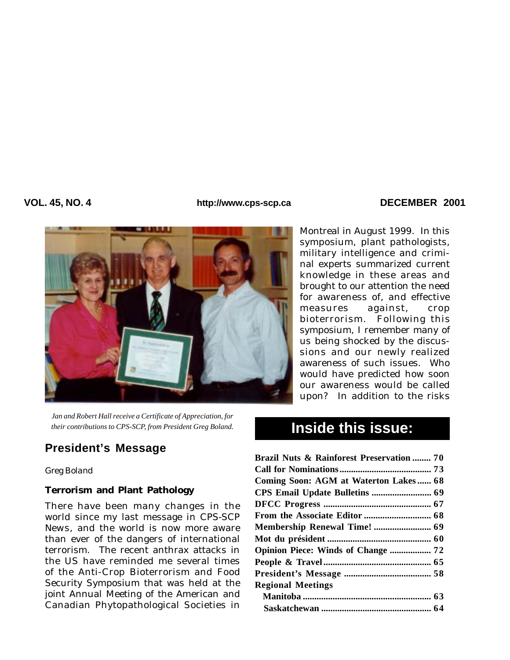#### VOL. 45, NO. 4 **DECEMBER** 2001



Montreal in August 1999. In this symposium, plant pathologists, military intelligence and criminal experts summarized current knowledge in these areas and brought to our attention the need for awareness of, and effective measures against, crop bioterrorism. Following this symposium, I remember many of us being shocked by the discussions and our newly realized awareness of such issues. Who would have predicted how soon our awareness would be called upon? In addition to the risks

*Jan and Robert Hall receive a Certificate of Appreciation, for their contributions to CPS-SCP, from President Greg Boland.*

## **Inside this issue: President's Message**

#### *Greg Boland*

## **Terrorism and Plant Pathology**

There have been many changes in the world since my last message in *CPS-SCP News*, and the world is now more aware than ever of the dangers of international terrorism. The recent anthrax attacks in the US have reminded me several times of the Anti-Crop Bioterrorism and Food Security Symposium that was held at the joint Annual Meeting of the American and Canadian Phytopathological Societies in

# **Inside this issue:**

| <b>Brazil Nuts &amp; Rainforest Preservation  70</b> |  |
|------------------------------------------------------|--|
|                                                      |  |
| Coming Soon: AGM at Waterton Lakes 68                |  |
|                                                      |  |
|                                                      |  |
|                                                      |  |
|                                                      |  |
|                                                      |  |
| Opinion Piece: Winds of Change  72                   |  |
|                                                      |  |
|                                                      |  |
| <b>Regional Meetings</b>                             |  |
|                                                      |  |
|                                                      |  |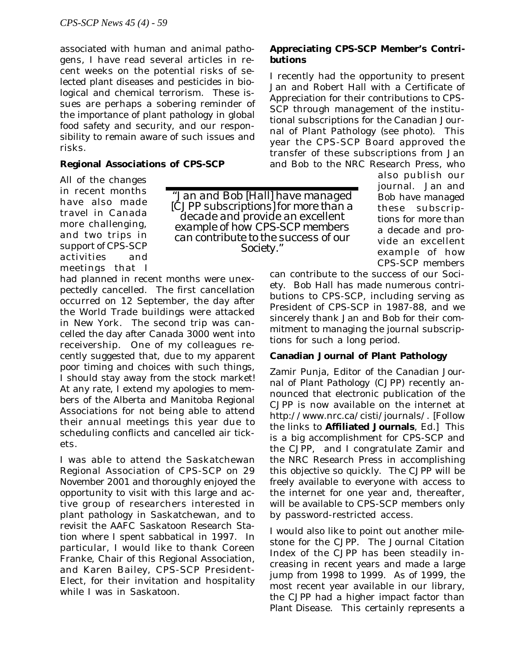associated with human and animal pathogens, I have read several articles in recent weeks on the potential risks of selected plant diseases and pesticides in biological and chemical terrorism. These issues are perhaps a sobering reminder of the importance of plant pathology in global food safety and security, and our responsibility to remain aware of such issues and risks.

## **Regional Associations of CPS-SCP**

All of the changes in recent months have also made travel in Canada more challenging, and two trips in support of CPS-SCP activities and meetings that I

*"Jan and Bob [Hall] have managed [*CJPP *subscriptions] for more than a decade and provide an excellent example of how CPS-SCP members can contribute to the success of our Society."*

had planned in recent months were unexpectedly cancelled. The first cancellation occurred on 12 September, the day after the World Trade buildings were attacked in New York. The second trip was cancelled the day after Canada 3000 went into receivership. One of my colleagues recently suggested that, due to my apparent poor timing and choices with such things, I should stay away from the stock market! At any rate, I extend my apologies to members of the Alberta and Manitoba Regional Associations for not being able to attend their annual meetings this year due to scheduling conflicts and cancelled air tickets.

I was able to attend the Saskatchewan Regional Association of CPS-SCP on 29 November 2001 and thoroughly enjoyed the opportunity to visit with this large and active group of researchers interested in plant pathology in Saskatchewan, and to revisit the AAFC Saskatoon Research Station where I spent sabbatical in 1997. In particular, I would like to thank Coreen Franke, Chair of this Regional Association, and Karen Bailey, CPS-SCP President-Elect, for their invitation and hospitality while I was in Saskatoon.

## **Appreciating CPS-SCP Member's Contributions**

I recently had the opportunity to present Jan and Robert Hall with a Certificate of Appreciation for their contributions to CPS-SCP through management of the institutional subscriptions for the Canadian Journal of Plant Pathology (see photo). This year the CPS-SCP Board approved the transfer of these subscriptions from Jan and Bob to the NRC Research Press, who

also publish our journal. Jan and Bob have managed these subscriptions for more than a decade and provide an excellent example of how CPS-SCP members

can contribute to the success of our Society. Bob Hall has made numerous contributions to CPS-SCP, including serving as President of CPS-SCP in 1987-88, and we sincerely thank Jan and Bob for their commitment to managing the journal subscriptions for such a long period.

## **Canadian Journal of Plant Pathology**

Zamir Punja, Editor of the *Canadian Journal of Plant Pathology* (CJPP) recently announced that electronic publication of the *CJPP* is now available on the internet at http://www.nrc.ca/cisti/journals/. [Follow the links to **Affiliated Journals**, *Ed.*] This is a big accomplishment for CPS-SCP and the *CJPP*, and I congratulate Zamir and the NRC Research Press in accomplishing this objective so quickly. The *CJPP* will be freely available to everyone with access to the internet for one year and, thereafter, will be available to CPS-SCP members only by password-restricted access.

I would also like to point out another milestone for the *CJPP*. The Journal Citation Index of the *CJPP* has been steadily increasing in recent years and made a large jump from 1998 to 1999. As of 1999, the most recent year available in our library, the *CJPP* had a higher impact factor than *Plant Disease*. This certainly represents a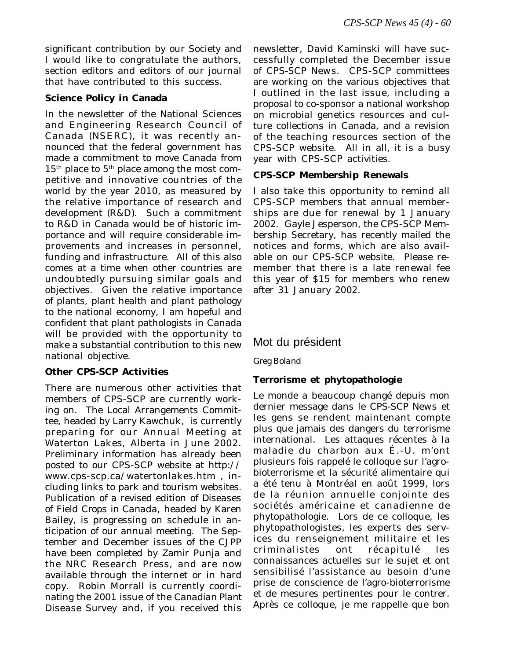significant contribution by our Society and I would like to congratulate the authors, section editors and editors of our journal that have contributed to this success.

## **Science Policy in Canada**

In the newsletter of the National Sciences and Engineering Research Council of Canada (NSERC), it was recently announced that the federal government has made a commitment to move Canada from  $15<sup>th</sup>$  place to  $5<sup>th</sup>$  place among the most competitive and innovative countries of the world by the year 2010, as measured by the relative importance of research and development (R&D). Such a commitment to R&D in Canada would be of historic importance and will require considerable improvements and increases in personnel, funding and infrastructure. All of this also comes at a time when other countries are undoubtedly pursuing similar goals and objectives. Given the relative importance of plants, plant health and plant pathology to the national economy, I am hopeful and confident that plant pathologists in Canada will be provided with the opportunity to make a substantial contribution to this new national objective.

## **Other CPS-SCP Activities**

There are numerous other activities that members of CPS-SCP are currently working on. The Local Arrangements Committee, headed by Larry Kawchuk, is currently preparing for our Annual Meeting at Waterton Lakes, Alberta in June 2002. Preliminary information has already been posted to our CPS-SCP website at http:// www.cps-scp.ca/watertonlakes.htm , including links to park and tourism websites. Publication of a revised edition of *Diseases of Field Crops in Canada*, headed by Karen Bailey, is progressing on schedule in anticipation of our annual meeting. The September and December issues of the *CJPP* have been completed by Zamir Punja and the NRC Research Press, and are now available through the internet or in hard copy. Robin Morrall is currently coordinating the 2001 issue of the *Canadian Plant Disease Survey* and, if you received this newsletter, David Kaminski will have successfully completed the December issue of *CPS-SCP News*. CPS-SCP committees are working on the various objectives that I outlined in the last issue, including a proposal to co-sponsor a national workshop on microbial genetics resources and culture collections in Canada, and a revision of the teaching resources section of the CPS-SCP website. All in all, it is a busy year with CPS-SCP activities.

## **CPS-SCP Membership Renewals**

I also take this opportunity to remind all CPS-SCP members that annual memberships are due for renewal by 1 January 2002. Gayle Jesperson, the CPS-SCP Membership Secretary, has recently mailed the notices and forms, which are also available on our CPS-SCP website. Please remember that there is a late renewal fee this year of \$15 for members who renew after 31 January 2002.

## Mot du président

*Greg Boland*

## **Terrorisme et phytopathologie**

Le monde a beaucoup changé depuis mon dernier message dans le *CPS-SCP News* et les gens se rendent maintenant compte plus que jamais des dangers du terrorisme international. Les attaques récentes à la maladie du charbon aux É.-U. m'ont plusieurs fois rappelé le colloque sur l'agrobioterrorisme et la sécurité alimentaire qui a été tenu à Montréal en août 1999, lors de la réunion annuelle conjointe des sociétés américaine et canadienne de phytopathologie. Lors de ce colloque, les phytopathologistes, les experts des services du renseignement militaire et les criminalistes ont récapitulé les connaissances actuelles sur le sujet et ont sensibilisé l'assistance au besoin d'une prise de conscience de l'agro-bioterrorisme et de mesures pertinentes pour le contrer. Après ce colloque, je me rappelle que bon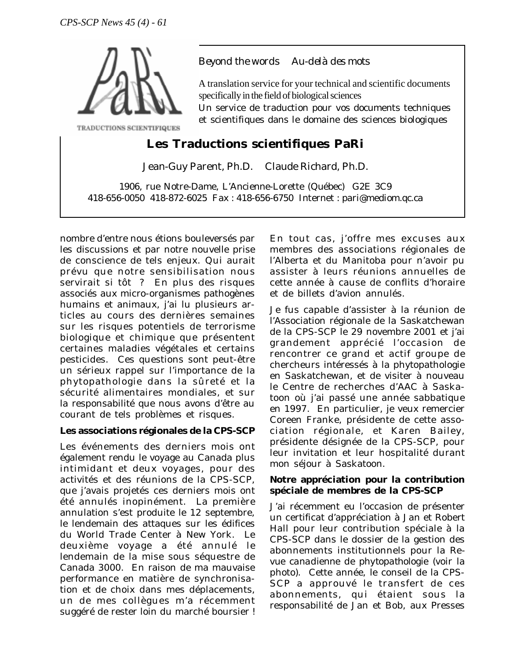

*Beyond the words Au-delà des mots*

A translation service for your technical and scientific documents specifically in the field of biological sciences

Un service de traduction pour vos documents techniques et scientifiques dans le domaine des sciences biologiques

# **Les Traductions scientifiques PaRi**

Jean-Guy Parent, Ph.D. Claude Richard, Ph.D.

1906, rue Notre-Dame, L'Ancienne-Lorette (Québec) G2E 3C9 418-656-0050 418-872-6025 Fax : 418-656-6750 Internet : pari@mediom.qc.ca

nombre d'entre nous étions bouleversés par les discussions et par notre nouvelle prise de conscience de tels enjeux. Qui aurait prévu que notre sensibilisation nous servirait si tôt ? En plus des risques associés aux micro-organismes pathogènes humains et animaux, j'ai lu plusieurs articles au cours des dernières semaines sur les risques potentiels de terrorisme biologique et chimique que présentent certaines maladies végétales et certains pesticides. Ces questions sont peut-être un sérieux rappel sur l'importance de la phytopathologie dans la sûreté et la sécurité alimentaires mondiales, et sur la responsabilité que nous avons d'être au courant de tels problèmes et risques.

## **Les associations régionales de la CPS-SCP**

Les événements des derniers mois ont également rendu le voyage au Canada plus intimidant et deux voyages, pour des activités et des réunions de la CPS-SCP, que j'avais projetés ces derniers mois ont été annulés inopinément. La première annulation s'est produite le 12 septembre, le lendemain des attaques sur les édifices du World Trade Center à New York. Le deuxième voyage a été annulé le lendemain de la mise sous séquestre de Canada 3000. En raison de ma mauvaise performance en matière de synchronisation et de choix dans mes déplacements, un de mes collègues m'a récemment suggéré de rester loin du marché boursier !

En tout cas, j'offre mes excuses aux membres des associations régionales de l'Alberta et du Manitoba pour n'avoir pu assister à leurs réunions annuelles de cette année à cause de conflits d'horaire et de billets d'avion annulés.

Je fus capable d'assister à la réunion de l'Association régionale de la Saskatchewan de la CPS-SCP le 29 novembre 2001 et j'ai grandement apprécié l'occasion de rencontrer ce grand et actif groupe de chercheurs intéressés à la phytopathologie en Saskatchewan, et de visiter à nouveau le Centre de recherches d'AAC à Saskatoon où j'ai passé une année sabbatique en 1997. En particulier, je veux remercier Coreen Franke, présidente de cette association régionale, et Karen Bailey, présidente désignée de la CPS-SCP, pour leur invitation et leur hospitalité durant mon séjour à Saskatoon.

## **Notre appréciation pour la contribution spéciale de membres de la CPS-SCP**

J'ai récemment eu l'occasion de présenter un certificat d'appréciation à Jan et Robert Hall pour leur contribution spéciale à la CPS-SCP dans le dossier de la gestion des abonnements institutionnels pour la *Revue canadienne de phytopathologie* (voir la photo). Cette année, le conseil de la CPS-SCP a approuvé le transfert de ces abonnements, qui étaient sous la responsabilité de Jan et Bob, aux Presses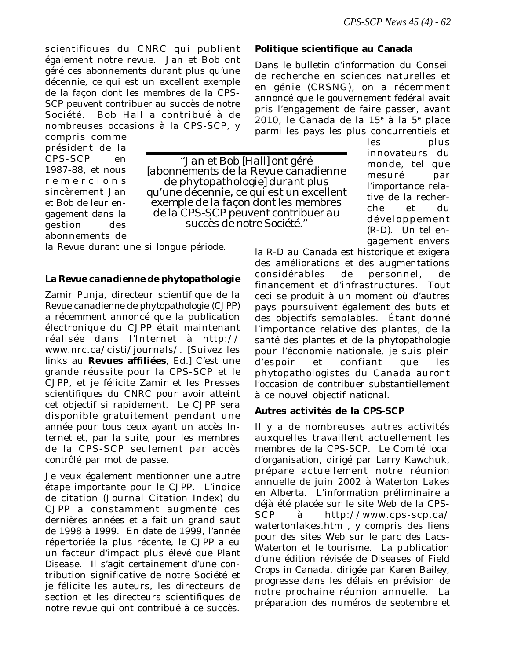les plus innovateurs du

scientifiques du CNRC qui publient également notre revue. Jan et Bob ont géré ces abonnements durant plus qu'une décennie, ce qui est un excellent exemple de la façon dont les membres de la CPS-SCP peuvent contribuer au succès de notre Société. Bob Hall a contribué à de nombreuses occasions à la CPS-SCP, y

compris comme président de la CPS-SCP en 1987-88, et nous remercions sincèrement Jan et Bob de leur engagement dans la gestion des abonnements de

*"Jan et Bob [Hall] ont géré [abonnements de la* Revue canadienne de phytopathologie*] durant plus qu'une décennie, ce qui est un excellent exemple de la façon dont les membres de la CPS-SCP peuvent contribuer au succès de notre Société."*

la *Revue* durant une si longue période.

#### **La** *Revue canadienne de phytopathologie*

Zamir Punja, directeur scientifique de la *Revue canadienne de phytopathologie* (*CJPP*) a récemment annoncé que la publication électronique du *CJPP* était maintenant réalisée dans l'Internet à http:// www.nrc.ca/cisti/journals/. [Suivez les links au **Revues affiliées**, *Ed.*] C'est une grande réussite pour la CPS-SCP et le *CJPP*, et je félicite Zamir et les Presses scientifiques du CNRC pour avoir atteint cet objectif si rapidement. Le *CJPP* sera disponible gratuitement pendant une année pour tous ceux ayant un accès Internet et, par la suite, pour les membres de la CPS-SCP seulement par accès contrôlé par mot de passe.

Je veux également mentionner une autre étape importante pour le *CJPP*. L'indice de citation (Journal Citation Index) du *CJPP* a constamment augmenté ces dernières années et a fait un grand saut de 1998 à 1999. En date de 1999, l'année répertoriée la plus récente, le *CJPP* a eu un facteur d'impact plus élevé que *Plant Disease*. Il s'agit certainement d'une contribution significative de notre Société et je félicite les auteurs, les directeurs de section et les directeurs scientifiques de notre revue qui ont contribué à ce succès.

#### **Politique scientifique au Canada**

Dans le bulletin d'information du Conseil de recherche en sciences naturelles et en génie (CRSNG), on a récemment annoncé que le gouvernement fédéral avait pris l'engagement de faire passer, avant 2010, le Canada de la 15<sup>e</sup> à la 5<sup>e</sup> place parmi les pays les plus concurrentiels et

> monde, tel que mesuré par l'importance relative de la recherche et du développement (R-D). Un tel engagement envers

la R-D au Canada est historique et exigera des améliorations et des augmentations considérables de personnel, de financement et d'infrastructures. Tout ceci se produit à un moment où d'autres pays poursuivent également des buts et des objectifs semblables. Étant donné l'importance relative des plantes, de la santé des plantes et de la phytopathologie pour l'économie nationale, je suis plein d'espoir et confiant que les phytopathologistes du Canada auront l'occasion de contribuer substantiellement à ce nouvel objectif national.

#### **Autres activités de la CPS-SCP**

Il y a de nombreuses autres activités auxquelles travaillent actuellement les membres de la CPS-SCP. Le Comité local d'organisation, dirigé par Larry Kawchuk, prépare actuellement notre réunion annuelle de juin 2002 à Waterton Lakes en Alberta. L'information préliminaire a déjà été placée sur le site Web de la CPS-SCP à http://www.cps-scp.ca/ watertonlakes.htm , y compris des liens pour des sites Web sur le parc des Lacs-Waterton et le tourisme. La publication d'une édition révisée de *Diseases of Field Crops in Canada*, dirigée par Karen Bailey, progresse dans les délais en prévision de notre prochaine réunion annuelle. La préparation des numéros de septembre et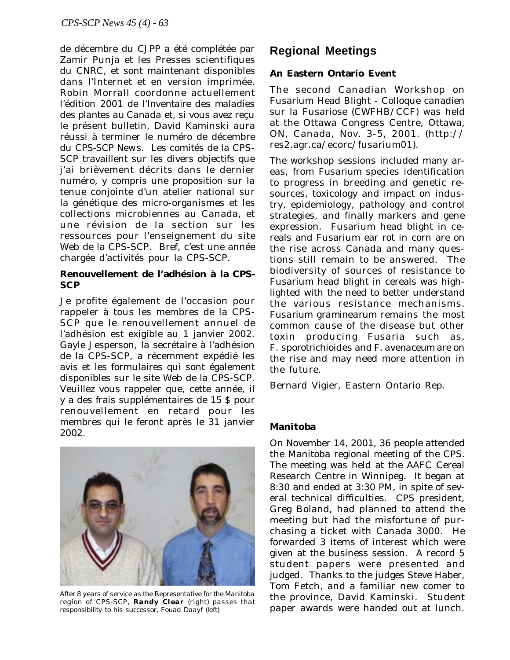de décembre du *CJPP* a été complétée par Zamir Punja et les Presses scientifiques du CNRC, et sont maintenant disponibles dans l'Internet et en version imprimée. Robin Morrall coordonne actuellement l'édition 2001 de l'*Inventaire des maladies des plantes au Canada* et, si vous avez reçu le présent bulletin, David Kaminski aura réussi à terminer le numéro de décembre du *CPS-SCP News*. Les comités de la CPS-SCP travaillent sur les divers objectifs que j'ai brièvement décrits dans le dernier numéro, y compris une proposition sur la tenue conjointe d'un atelier national sur la génétique des micro-organismes et les collections microbiennes au Canada, et une révision de la section sur les ressources pour l'enseignement du site Web de la CPS-SCP. Bref, c'est une année chargée d'activités pour la CPS-SCP.

## **Renouvellement de l'adhésion à la CPS-SCP**

Je profite également de l'occasion pour rappeler à tous les membres de la CPS-SCP que le renouvellement annuel de l'adhésion est exigible au 1 janvier 2002. Gayle Jesperson, la secrétaire à l'adhésion de la CPS-SCP, a récemment expédié les avis et les formulaires qui sont également disponibles sur le site Web de la CPS-SCP. Veuillez vous rappeler que, cette année, il y a des frais supplémentaires de 15 \$ pour renouvellement en retard pour les membres qui le feront après le 31 janvier 2002.



*After 8 years of service as the Representative for the Manitoba region of CPS-SCP, Randy Clear (right) passes that responsibility to his successor, Fouad Daayf (left)*

# **Regional Meetings**

## **An Eastern Ontario Event**

The second Canadian Workshop on Fusarium Head Blight - Colloque canadien sur la Fusariose (CWFHB/CCF) was held at the Ottawa Congress Centre, Ottawa, ON, Canada, Nov. 3-5, 2001. (http:// res2.agr.ca/ecorc/fusarium01).

The workshop sessions included many areas, from *Fusarium* species identification to progress in breeding and genetic resources, toxicology and impact on industry, epidemiology, pathology and control strategies, and finally markers and gene expression. Fusarium head blight in cereals and Fusarium ear rot in corn are on the rise across Canada and many questions still remain to be answered. The biodiversity of sources of resistance to Fusarium head blight in cereals was highlighted with the need to better understand the various resistance mechanisms. *Fusarium graminearum* remains the most common cause of the disease but other toxin producing *Fusaria* such as, *F. sporotrichioides* and *F. avenaceum* are on the rise and may need more attention in the future.

Bernard Vigier, Eastern Ontario Rep.

## **Manitoba**

On November 14, 2001, 36 people attended the Manitoba regional meeting of the CPS. The meeting was held at the AAFC Cereal Research Centre in Winnipeg. It began at 8:30 and ended at 3:30 PM, in spite of several technical difficulties. CPS president, Greg Boland, had planned to attend the meeting but had the misfortune of purchasing a ticket with Canada 3000. He forwarded 3 items of interest which were given at the business session. A record 5 student papers were presented and judged. Thanks to the judges Steve Haber, Tom Fetch, and a familiar new comer to the province, David Kaminski. Student paper awards were handed out at lunch.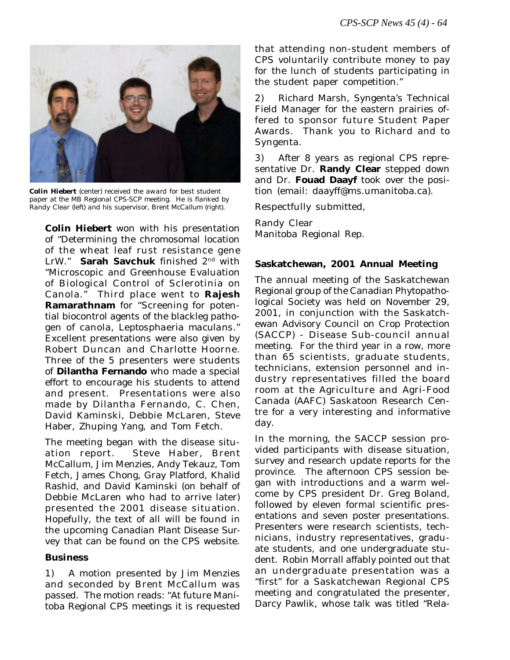

*Colin Hiebert (center) received the award for best student paper at the MB Regional CPS-SCP meeting. He is flanked by Randy Clear (left) and his supervisor, Brent McCallum (right).*

**Colin Hiebert** won with his presentation of "Determining the chromosomal location of the wheat leaf rust resistance gene LrW." **Sarah Savchuk** finished 2nd with "Microscopic and Greenhouse Evaluation of Biological Control of Sclerotinia on Canola." Third place went to **Rajesh Ramarathnam** for "Screening for potential biocontrol agents of the blackleg pathogen of canola, *Leptosphaeria maculans*." Excellent presentations were also given by Robert Duncan and Charlotte Hoorne. Three of the 5 presenters were students of **Dilantha Fernando** who made a special effort to encourage his students to attend and present. Presentations were also made by Dilantha Fernando, C. Chen, David Kaminski, Debbie McLaren, Steve Haber, Zhuping Yang, and Tom Fetch.

The meeting began with the disease situation report. Steve Haber, Brent McCallum, Jim Menzies, Andy Tekauz, Tom Fetch, James Chong, Gray Platford, Khalid Rashid, and David Kaminski (on behalf of Debbie McLaren who had to arrive later) presented the 2001 disease situation. Hopefully, the text of all will be found in the upcoming *Canadian Plant Disease Survey* that can be found on the CPS website.

## **Business**

1) A motion presented by Jim Menzies and seconded by Brent McCallum was passed. The motion reads: "At future Manitoba Regional CPS meetings it is requested that attending non-student members of CPS voluntarily contribute money to pay for the lunch of students participating in the student paper competition."

2) Richard Marsh, Syngenta's Technical Field Manager for the eastern prairies offered to sponsor future Student Paper Awards. Thank you to Richard and to Syngenta.

3) After 8 years as regional CPS representative Dr. **Randy Clear** stepped down and Dr. **Fouad Daayf** took over the position (email: daayff@ms.umanitoba.ca).

Respectfully submitted,

Randy Clear Manitoba Regional Rep.

## **Saskatchewan, 2001 Annual Meeting**

The annual meeting of the Saskatchewan Regional group of the Canadian Phytopathological Society was held on November 29, 2001, in conjunction with the Saskatchewan Advisory Council on Crop Protection (SACCP) - Disease Sub-council annual meeting. For the third year in a row, more than 65 scientists, graduate students, technicians, extension personnel and industry representatives filled the board room at the Agriculture and Agri-Food Canada (AAFC) Saskatoon Research Centre for a very interesting and informative day.

In the morning, the SACCP session provided participants with disease situation, survey and research update reports for the province. The afternoon CPS session began with introductions and a warm welcome by CPS president Dr. Greg Boland, followed by eleven formal scientific presentations and seven poster presentations. Presenters were research scientists, technicians, industry representatives, graduate students, and one undergraduate student. Robin Morrall affably pointed out that an undergraduate presentation was a "first" for a Saskatchewan Regional CPS meeting and congratulated the presenter, Darcy Pawlik, whose talk was titled "Rela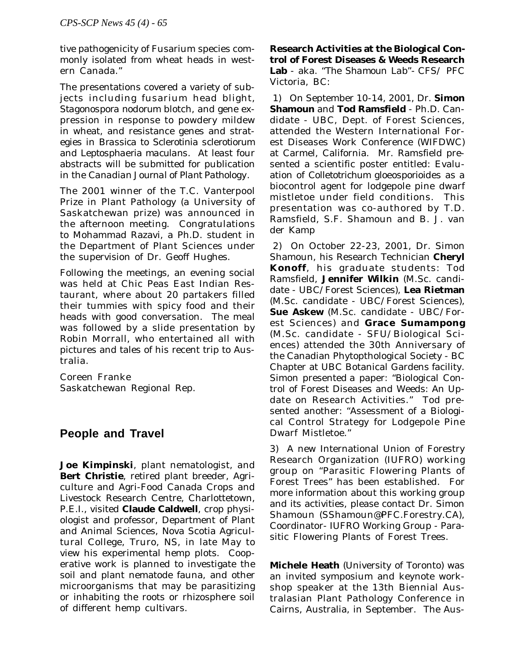tive pathogenicity of Fusarium species commonly isolated from wheat heads in western Canada."

The presentations covered a variety of subjects including fusarium head blight, *Stagonospora nodorum* blotch, and gene expression in response to powdery mildew in wheat, and resistance genes and strategies in *Brassica* to *Sclerotinia sclerotiorum* and *Leptosphaeria maculans*. At least four abstracts will be submitted for publication in the *Canadian Journal of Plant Pathology*.

The 2001 winner of the T.C. Vanterpool Prize in Plant Pathology (a University of Saskatchewan prize) was announced in the afternoon meeting. Congratulations to Mohammad Razavi, a Ph.D. student in the Department of Plant Sciences under the supervision of Dr. Geoff Hughes.

Following the meetings, an evening social was held at Chic Peas East Indian Restaurant, where about 20 partakers filled their tummies with spicy food and their heads with good conversation. The meal was followed by a slide presentation by Robin Morrall, who entertained all with pictures and tales of his recent trip to Australia.

Coreen Franke Saskatchewan Regional Rep.

## **People and Travel**

**Joe Kimpinski**, plant nematologist, and **Bert Christie**, retired plant breeder, Agriculture and Agri-Food Canada Crops and Livestock Research Centre, Charlottetown, P.E.I., visited **Claude Caldwell**, crop physiologist and professor, Department of Plant and Animal Sciences, Nova Scotia Agricultural College, Truro, NS, in late May to view his experimental hemp plots. Cooperative work is planned to investigate the soil and plant nematode fauna, and other microorganisms that may be parasitizing or inhabiting the roots or rhizosphere soil of different hemp cultivars.

**Research Activities at the Biological Control of Forest Diseases & Weeds Research Lab** - aka. *"The Shamoun Lab"-* CFS/ PFC Victoria, BC*:*

 1) On September 10-14, 2001, Dr. **Simon Shamoun** and **Tod Ramsfield** - Ph.D. Candidate - UBC, Dept. of Forest Sciences, attended the Western International Forest Diseases Work Conference (WIFDWC) at Carmel, California. Mr. Ramsfield presented a scientific poster entitled: Evaluation of *Colletotrichum gloeosporioides* as a biocontrol agent for lodgepole pine dwarf mistletoe under field conditions. This presentation was co-authored by T.D. Ramsfield, S.F. Shamoun and B. J. van der Kamp

 2) On October 22-23, 2001, Dr. Simon Shamoun, his Research Technician **Cheryl Konoff**, his graduate students: Tod Ramsfield, **Jennifer Wilkin** (M.Sc. candidate - UBC/Forest Sciences), **Lea Rietman** (M.Sc. candidate - UBC/Forest Sciences), **Sue Askew** (M.Sc. candidate - UBC/Forest Sciences) and **Grace Sumampong** (M.Sc. candidate - SFU/Biological Sciences) attended the 30th Anniversary of the Canadian Phytopthological Society - BC Chapter at UBC Botanical Gardens facility. Simon presented a paper: "Biological Control of Forest Diseases and Weeds: An Update on Research Activities." Tod presented another: "Assessment of a Biological Control Strategy for Lodgepole Pine Dwarf Mistletoe."

3) A new International Union of Forestry Research Organization (IUFRO) working group on "Parasitic Flowering Plants of Forest Trees" has been established. For more information about this working group and its activities, please contact Dr. Simon Shamoun (SShamoun@PFC.Forestry.CA), Coordinator- IUFRO Working Group - Parasitic Flowering Plants of Forest Trees.

**Michele Heath** (University of Toronto) was an invited symposium and keynote workshop speaker at the 13th Biennial Australasian Plant Pathology Conference in Cairns, Australia, in September. The Aus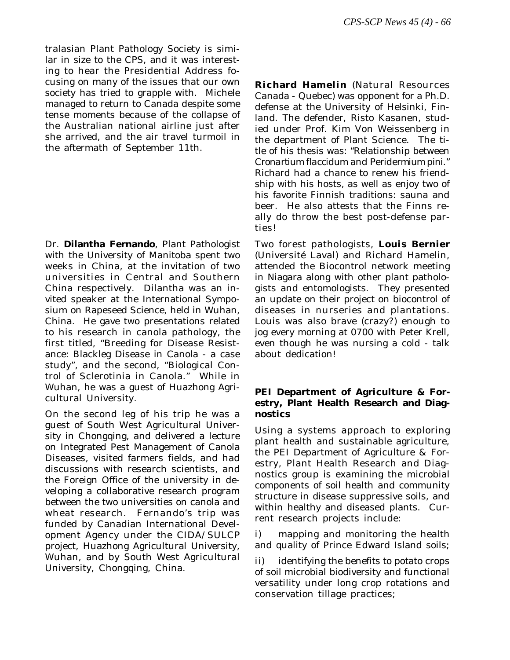tralasian Plant Pathology Society is similar in size to the CPS, and it was interesting to hear the Presidential Address focusing on many of the issues that our own society has tried to grapple with. Michele managed to return to Canada despite some tense moments because of the collapse of the Australian national airline just after she arrived, and the air travel turmoil in the aftermath of September 11th.

Dr. **Dilantha Fernando**, Plant Pathologist with the University of Manitoba spent two weeks in China, at the invitation of two universities in Central and Southern China respectively. Dilantha was an invited speaker at the International Symposium on Rapeseed Science, held in Wuhan, China. He gave two presentations related to his research in canola pathology, the first titled, "Breeding for Disease Resistance: Blackleg Disease in Canola - a case study", and the second, "Biological Control of Sclerotinia in Canola." While in Wuhan, he was a guest of Huazhong Agricultural University.

On the second leg of his trip he was a guest of South West Agricultural University in Chongqing, and delivered a lecture on Integrated Pest Management of Canola Diseases, visited farmers fields, and had discussions with research scientists, and the Foreign Office of the university in developing a collaborative research program between the two universities on canola and wheat research. Fernando's trip was funded by Canadian International Development Agency under the CIDA/SULCP project, Huazhong Agricultural University, Wuhan, and by South West Agricultural University, Chongqing, China.

**Richard Hamelin** (Natural Resources Canada - Quebec) was opponent for a Ph.D. defense at the University of Helsinki, Finland. The defender, Risto Kasanen, studied under Prof. Kim Von Weissenberg in the department of Plant Science. The title of his thesis was: "Relationship between *Cronartium flaccidum* and *Peridermium pini*." Richard had a chance to renew his friendship with his hosts, as well as enjoy two of his favorite Finnish traditions: sauna and beer. He also attests that the Finns really do throw the best post-defense parties!

Two forest pathologists, **Louis Bernier** (Université Laval) and Richard Hamelin, attended the Biocontrol network meeting in Niagara along with other plant pathologists and entomologists. They presented an update on their project on biocontrol of diseases in nurseries and plantations. Louis was also brave (crazy?) enough to jog every morning at 0700 with Peter Krell, even though he was nursing a cold - talk about dedication!

## **PEI Department of Agriculture & Forestry, Plant Health Research and Diagnostics**

Using a systems approach to exploring plant health and sustainable agriculture, the PEI Department of Agriculture & Forestry, Plant Health Research and Diagnostics group is examining the microbial components of soil health and community structure in disease suppressive soils, and within healthy and diseased plants. Current research projects include:

i) mapping and monitoring the health and quality of Prince Edward Island soils;

ii) identifying the benefits to potato crops of soil microbial biodiversity and functional versatility under long crop rotations and conservation tillage practices;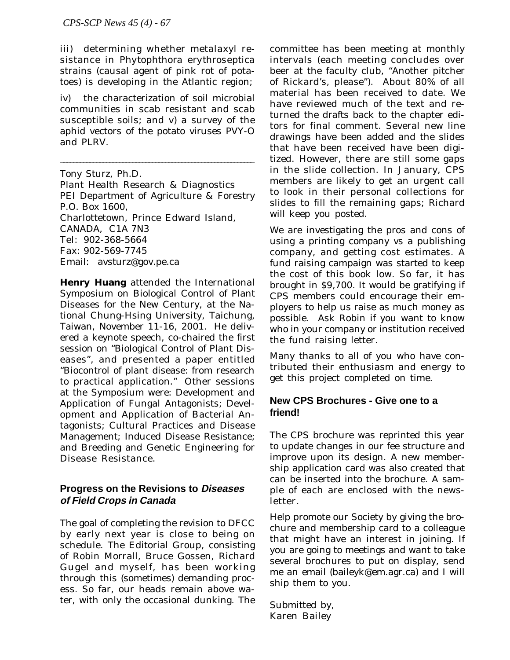iii) determining whether metalaxyl resistance in *Phytophthora erythroseptica* strains (causal agent of pink rot of potatoes) is developing in the Atlantic region;

iv) the characterization of soil microbial communities in scab resistant and scab susceptible soils; and v) a survey of the aphid vectors of the potato viruses PVY-O and PLRV.

\_\_\_\_\_\_\_\_\_\_\_\_\_\_\_\_\_\_\_\_\_\_\_\_\_\_\_\_\_\_\_\_\_\_\_\_\_\_\_\_\_\_\_\_\_\_\_\_\_\_\_\_\_\_\_\_\_\_\_

Tony Sturz, Ph.D.

Plant Health Research & Diagnostics PEI Department of Agriculture & Forestry P.O. Box 1600, Charlottetown, Prince Edward Island, CANADA, C1A 7N3 Tel: 902-368-5664 Fax: 902-569-7745 Email: avsturz@gov.pe.ca

**Henry Huang** attended the International Symposium on Biological Control of Plant Diseases for the New Century, at the National Chung-Hsing University, Taichung, Taiwan, November 11-16, 2001. He delivered a keynote speech, co-chaired the first session on "Biological Control of Plant Diseases", and presented a paper entitled "Biocontrol of plant disease: from research to practical application." Other sessions at the Symposium were: Development and Application of Fungal Antagonists; Development and Application of Bacterial Antagonists; Cultural Practices and Disease Management; Induced Disease Resistance; and Breeding and Genetic Engineering for Disease Resistance.

## **Progress on the Revisions to Diseases of Field Crops in Canada**

The goal of completing the revision to DFCC by early next year is close to being on schedule. The Editorial Group, consisting of Robin Morrall, Bruce Gossen, Richard Gugel and myself, has been working through this (sometimes) demanding process. So far, our heads remain above water, with only the occasional dunking. The

committee has been meeting at monthly intervals (each meeting concludes over beer at the faculty club, "Another pitcher of Rickard's, please"). About 80% of all material has been received to date. We have reviewed much of the text and returned the drafts back to the chapter editors for final comment. Several new line drawings have been added and the slides that have been received have been digitized. However, there are still some gaps in the slide collection. In January, CPS members are likely to get an urgent call to look in their personal collections for slides to fill the remaining gaps; Richard will keep you posted.

We are investigating the pros and cons of using a printing company vs a publishing company, and getting cost estimates. A fund raising campaign was started to keep the cost of this book low. So far, it has brought in \$9,700. It would be gratifying if CPS members could encourage their employers to help us raise as much money as possible. Ask Robin if you want to know who in your company or institution received the fund raising letter.

Many thanks to all of you who have contributed their enthusiasm and energy to get this project completed on time.

## **New CPS Brochures - Give one to a friend!**

The CPS brochure was reprinted this year to update changes in our fee structure and improve upon its design. A new membership application card was also created that can be inserted into the brochure. A sample of each are enclosed with the newsletter.

Help promote our Society by giving the brochure and membership card to a colleague that might have an interest in joining. If you are going to meetings and want to take several brochures to put on display, send me an email (baileyk@em.agr.ca) and I will ship them to you.

Submitted by, Karen Bailey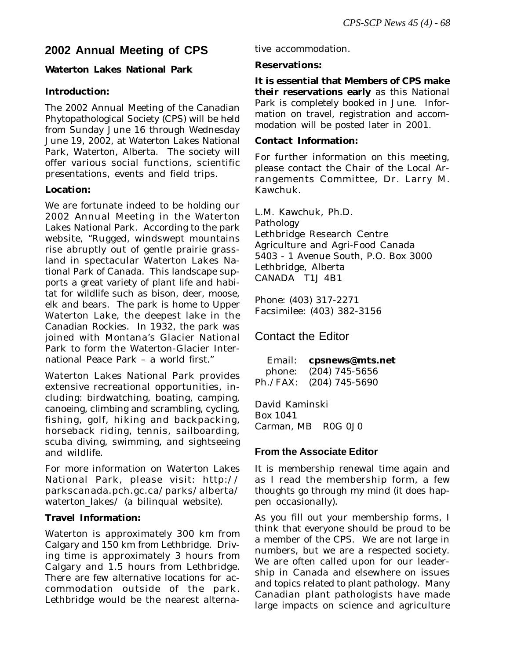# **2002 Annual Meeting of CPS**

## **Waterton Lakes National Park**

## **Introduction:**

The 2002 Annual Meeting of the Canadian Phytopathological Society (CPS) will be held from Sunday June 16 through Wednesday June 19, 2002, at Waterton Lakes National Park, Waterton, Alberta. The society will offer various social functions, scientific presentations, events and field trips.

## **Location:**

We are fortunate indeed to be holding our 2002 Annual Meeting in the Waterton Lakes National Park. According to the park website, "Rugged, windswept mountains rise abruptly out of gentle prairie grassland in spectacular Waterton Lakes National Park of Canada. This landscape supports a great variety of plant life and habitat for wildlife such as bison, deer, moose, elk and bears. The park is home to Upper Waterton Lake, the deepest lake in the Canadian Rockies. In 1932, the park was joined with Montana's Glacier National Park to form the Waterton-Glacier International Peace Park – a world first."

Waterton Lakes National Park provides extensive recreational opportunities, including: birdwatching, boating, camping, canoeing, climbing and scrambling, cycling, fishing, golf, hiking and backpacking, horseback riding, tennis, sailboarding, scuba diving, swimming, and sightseeing and wildlife.

For more information on Waterton Lakes National Park, please visit: http:// parkscanada.pch.gc.ca/parks/alberta/ waterton\_lakes/ (a bilinqual website).

## **Travel Information:**

Waterton is approximately 300 km from Calgary and 150 km from Lethbridge. Driving time is approximately 3 hours from Calgary and 1.5 hours from Lethbridge. There are few alternative locations for accommodation outside of the park. Lethbridge would be the nearest alternative accommodation.

## **Reservations:**

**It is essential that Members of CPS make their reservations early** as this National Park is completely booked in June. Information on travel, registration and accommodation will be posted later in 2001.

## **Contact Information:**

For further information on this meeting, please contact the Chair of the Local Arrangements Committee, Dr. Larry M. Kawchuk.

L.M. Kawchuk, Ph.D. Pathology Lethbridge Research Centre Agriculture and Agri-Food Canada 5403 - 1 Avenue South, P.O. Box 3000 Lethbridge, Alberta CANADA T1J 4B1

Phone: (403) 317-2271 Facsimilee: (403) 382-3156

## Contact the Editor

| Email: | cpsnews@mts.net         |
|--------|-------------------------|
| phone: | $(204)$ 745-5656        |
|        | Ph./FAX: (204) 745-5690 |

David Kaminski Box 1041 Carman, MB R0G 0J0

## **From the Associate Editor**

It is membership renewal time again and as I read the membership form, a few thoughts go through my mind (it does happen occasionally).

As you fill out your membership forms, I think that everyone should be proud to be a member of the CPS. We are not large in numbers, but we are a respected society. We are often called upon for our leadership in Canada and elsewhere on issues and topics related to plant pathology. Many Canadian plant pathologists have made large impacts on science and agriculture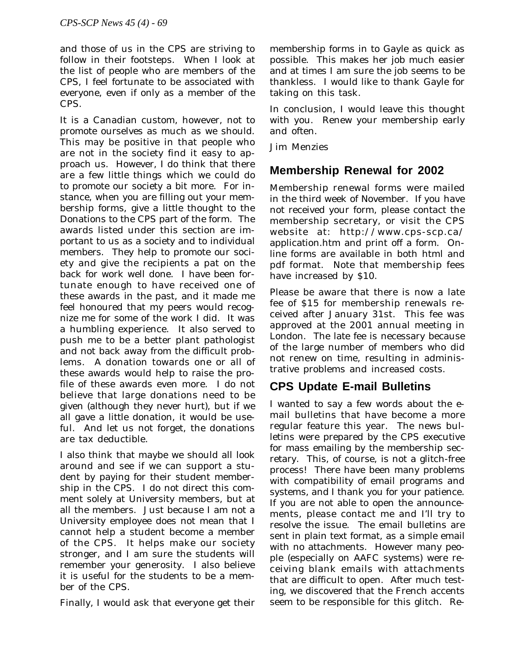and those of us in the CPS are striving to follow in their footsteps. When I look at the list of people who are members of the CPS, I feel fortunate to be associated with everyone, even if only as a member of the CPS.

It is a Canadian custom, however, not to promote ourselves as much as we should. This may be positive in that people who are not in the society find it easy to approach us. However, I do think that there are a few little things which we could do to promote our society a bit more. For instance, when you are filling out your membership forms, give a little thought to the Donations to the CPS part of the form. The awards listed under this section are important to us as a society and to individual members. They help to promote our society and give the recipients a pat on the back for work well done. I have been fortunate enough to have received one of these awards in the past, and it made me feel honoured that my peers would recognize me for some of the work I did. It was a humbling experience. It also served to push me to be a better plant pathologist and not back away from the difficult problems. A donation towards one or all of these awards would help to raise the profile of these awards even more. I do not believe that large donations need to be given (although they never hurt), but if we all gave a little donation, it would be useful. And let us not forget, the donations are tax deductible.

I also think that maybe we should all look around and see if we can support a student by paying for their student membership in the CPS. I do not direct this comment solely at University members, but at all the members. Just because I am not a University employee does not mean that I cannot help a student become a member of the CPS. It helps make our society stronger, and I am sure the students will remember your generosity. I also believe it is useful for the students to be a member of the CPS.

Finally, I would ask that everyone get their

membership forms in to Gayle as quick as possible. This makes her job much easier and at times I am sure the job seems to be thankless. I would like to thank Gayle for taking on this task.

In conclusion, I would leave this thought with you. Renew your membership early and often.

Jim Menzies

# **Membership Renewal for 2002**

Membership renewal forms were mailed in the third week of November. If you have not received your form, please contact the membership secretary, or visit the CPS website at: http://www.cps-scp.ca/ application.htm and print off a form. Online forms are available in both html and pdf format. Note that membership fees have increased by \$10.

Please be aware that there is now a late fee of \$15 for membership renewals received after January 31st. This fee was approved at the 2001 annual meeting in London. The late fee is necessary because of the large number of members who did not renew on time, resulting in administrative problems and increased costs.

# **CPS Update E-mail Bulletins**

I wanted to say a few words about the email bulletins that have become a more regular feature this year. The news bulletins were prepared by the CPS executive for mass emailing by the membership secretary. This, of course, is not a glitch-free process! There have been many problems with compatibility of email programs and systems, and I thank you for your patience. If you are not able to open the announcements, please contact me and I'll try to resolve the issue. The email bulletins are sent in plain text format, as a simple email with no attachments. However many people (especially on AAFC systems) were receiving blank emails with attachments that are difficult to open. After much testing, we discovered that the French accents seem to be responsible for this glitch. Re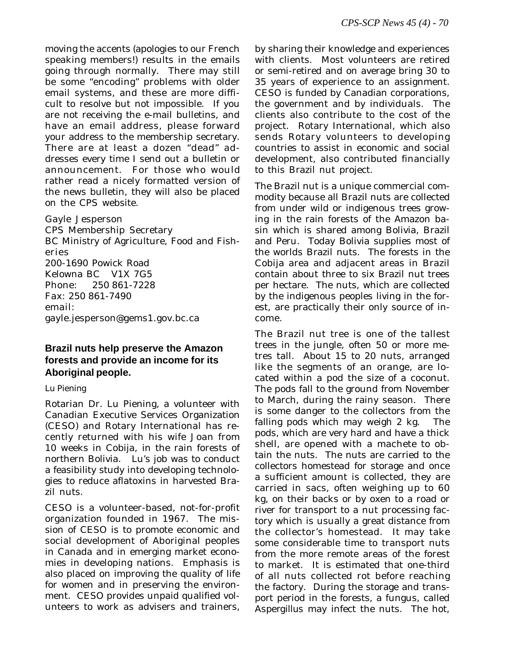moving the accents (apologies to our French speaking members!) results in the emails going through normally. There may still be some "encoding" problems with older email systems, and these are more difficult to resolve but not impossible. If you are not receiving the e-mail bulletins, and have an email address, please forward your address to the membership secretary. There are at least a dozen "dead" addresses every time I send out a bulletin or announcement. For those who would rather read a nicely formatted version of the news bulletin, they will also be placed on the CPS website.

Gayle Jesperson CPS Membership Secretary BC Ministry of Agriculture, Food and Fisheries 200-1690 Powick Road Kelowna BC V1X 7G5<br>Phone: 250 861-7228 Phone: 250 861-7228 Fax: 250 861-7490 email: gayle.jesperson@gems1.gov.bc.ca

## **Brazil nuts help preserve the Amazon forests and provide an income for its Aboriginal people.**

## *Lu Piening*

Rotarian Dr. Lu Piening, a volunteer with Canadian Executive Services Organization (CESO) and Rotary International has recently returned with his wife Joan from 10 weeks in Cobija, in the rain forests of northern Bolivia. Lu's job was to conduct a feasibility study into developing technologies to reduce aflatoxins in harvested Brazil nuts.

CESO is a volunteer-based, not-for-profit organization founded in 1967. The mission of CESO is to promote economic and social development of Aboriginal peoples in Canada and in emerging market economies in developing nations. Emphasis is also placed on improving the quality of life for women and in preserving the environment. CESO provides unpaid qualified volunteers to work as advisers and trainers,

by sharing their knowledge and experiences with clients. Most volunteers are retired or semi-retired and on average bring 30 to 35 years of experience to an assignment. CESO is funded by Canadian corporations, the government and by individuals. The clients also contribute to the cost of the project. Rotary International, which also sends Rotary volunteers to developing countries to assist in economic and social development, also contributed financially to this Brazil nut project.

The Brazil nut is a unique commercial commodity because all Brazil nuts are collected from under wild or indigenous trees growing in the rain forests of the Amazon basin which is shared among Bolivia, Brazil and Peru. Today Bolivia supplies most of the worlds Brazil nuts. The forests in the Cobija area and adjacent areas in Brazil contain about three to six Brazil nut trees per hectare. The nuts, which are collected by the indigenous peoples living in the forest, are practically their only source of income.

The Brazil nut tree is one of the tallest trees in the jungle, often 50 or more metres tall. About 15 to 20 nuts, arranged like the segments of an orange, are located within a pod the size of a coconut. The pods fall to the ground from November to March, during the rainy season. There is some danger to the collectors from the falling pods which may weigh 2 kg. The pods, which are very hard and have a thick shell, are opened with a machete to obtain the nuts. The nuts are carried to the collectors homestead for storage and once a sufficient amount is collected, they are carried in sacs, often weighing up to 60 kg, on their backs or by oxen to a road or river for transport to a nut processing factory which is usually a great distance from the collector's homestead. It may take some considerable time to transport nuts from the more remote areas of the forest to market. It is estimated that one-third of all nuts collected rot before reaching the factory. During the storage and transport period in the forests, a fungus, called *Aspergillus* may infect the nuts. The hot,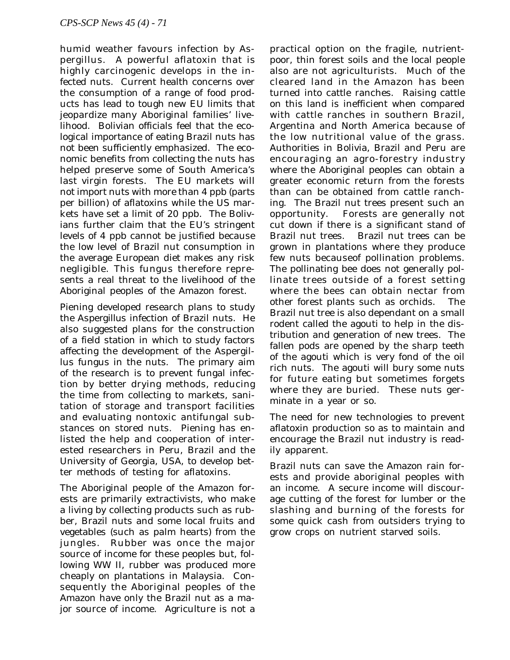humid weather favours infection by Aspergillus. A powerful aflatoxin that is highly carcinogenic develops in the infected nuts. Current health concerns over the consumption of a range of food products has lead to tough new EU limits that jeopardize many Aboriginal families' livelihood. Bolivian officials feel that the ecological importance of eating Brazil nuts has not been sufficiently emphasized. The economic benefits from collecting the nuts has helped preserve some of South America's last virgin forests. The EU markets will not import nuts with more than 4 ppb (parts per billion) of aflatoxins while the US markets have set a limit of 20 ppb. The Bolivians further claim that the EU's stringent levels of 4 ppb cannot be justified because the low level of Brazil nut consumption in the average European diet makes any risk negligible. This fungus therefore represents a real threat to the livelihood of the Aboriginal peoples of the Amazon forest.

Piening developed research plans to study the *Aspergillus* infection of Brazil nuts. He also suggested plans for the construction of a field station in which to study factors affecting the development of the Aspergillus fungus in the nuts. The primary aim of the research is to prevent fungal infection by better drying methods, reducing the time from collecting to markets, sanitation of storage and transport facilities and evaluating nontoxic antifungal substances on stored nuts. Piening has enlisted the help and cooperation of interested researchers in Peru, Brazil and the University of Georgia, USA, to develop better methods of testing for aflatoxins.

The Aboriginal people of the Amazon forests are primarily extractivists, who make a living by collecting products such as rubber, Brazil nuts and some local fruits and vegetables (such as palm hearts) from the jungles. Rubber was once the major source of income for these peoples but, following WW II, rubber was produced more cheaply on plantations in Malaysia. Consequently the Aboriginal peoples of the Amazon have only the Brazil nut as a major source of income. Agriculture is not a

practical option on the fragile, nutrientpoor, thin forest soils and the local people also are not agriculturists. Much of the cleared land in the Amazon has been turned into cattle ranches. Raising cattle on this land is inefficient when compared with cattle ranches in southern Brazil, Argentina and North America because of the low nutritional value of the grass. Authorities in Bolivia, Brazil and Peru are encouraging an agro-forestry industry where the Aboriginal peoples can obtain a greater economic return from the forests than can be obtained from cattle ranching. The Brazil nut trees present such an opportunity. Forests are generally not cut down if there is a significant stand of Brazil nut trees. Brazil nut trees can be grown in plantations where they produce few nuts becauseof pollination problems. The pollinating bee does not generally pollinate trees outside of a forest setting where the bees can obtain nectar from other forest plants such as orchids. The Brazil nut tree is also dependant on a small rodent called the agouti to help in the distribution and generation of new trees. The fallen pods are opened by the sharp teeth of the agouti which is very fond of the oil rich nuts. The agouti will bury some nuts for future eating but sometimes forgets where they are buried. These nuts germinate in a year or so.

The need for new technologies to prevent aflatoxin production so as to maintain and encourage the Brazil nut industry is readily apparent.

Brazil nuts can save the Amazon rain forests and provide aboriginal peoples with an income. A secure income will discourage cutting of the forest for lumber or the slashing and burning of the forests for some quick cash from outsiders trying to grow crops on nutrient starved soils.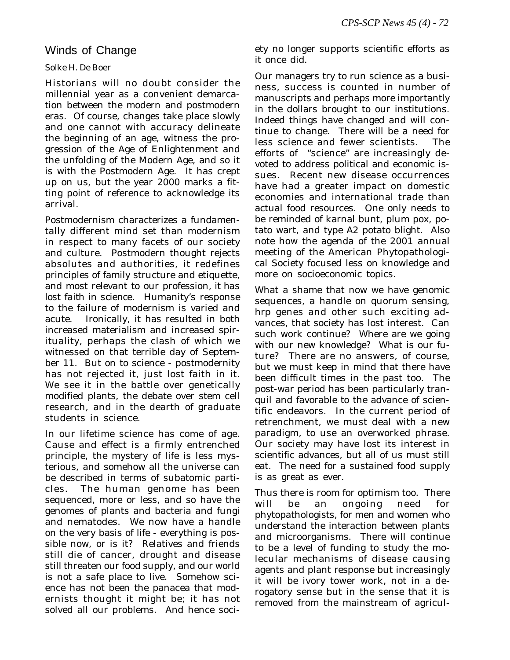## Winds of Change

## *Solke H. De Boer*

Historians will no doubt consider the millennial year as a convenient demarcation between the modern and postmodern eras. Of course, changes take place slowly and one cannot with accuracy delineate the beginning of an age, witness the progression of the Age of Enlightenment and the unfolding of the Modern Age, and so it is with the Postmodern Age. It has crept up on us, but the year 2000 marks a fitting point of reference to acknowledge its arrival.

Postmodernism characterizes a fundamentally different mind set than modernism in respect to many facets of our society and culture. Postmodern thought rejects absolutes and authorities, it redefines principles of family structure and etiquette, and most relevant to our profession*, it has lost faith in science*. Humanity's response to the failure of modernism is varied and acute. Ironically, it has resulted in both increased materialism and increased spirituality, perhaps the clash of which we witnessed on that terrible day of September 11. But on to science - postmodernity has not rejected it, just lost faith in it. We see it in the battle over genetically modified plants, the debate over stem cell research, and in the dearth of graduate students in science.

In our lifetime science has come of age. Cause and effect is a firmly entrenched principle, the mystery of life is less mysterious, and somehow all the universe can be described in terms of subatomic particles. The human genome has been sequenced, more or less, and so have the genomes of plants and bacteria and fungi and nematodes. We now have a handle on the very basis of life - everything is possible now, or is it? Relatives and friends still die of cancer, drought and disease still threaten our food supply, and our world is not a safe place to live. Somehow science has not been the panacea that modernists thought it might be; it has not solved all our problems. And hence society no longer supports scientific efforts as it once did.

Our managers try to run science as a business, success is counted in number of manuscripts and perhaps more importantly in the dollars brought to our institutions. Indeed things have changed and will continue to change. There will be a need for less science and fewer scientists. The efforts of "science" are increasingly devoted to address political and economic issues. Recent new disease occurrences have had a greater impact on domestic economies and international trade than actual food resources. One only needs to be reminded of karnal bunt, plum pox, potato wart, and type A2 potato blight. Also note how the agenda of the 2001 annual meeting of the American Phytopathological Society focused less on knowledge and more on socioeconomic topics.

What a shame that now we have genomic sequences, a handle on quorum sensing, *hrp* genes and other such exciting advances, that society has lost interest. Can such work continue? Where are we going with our new knowledge? What is our future? There are no answers, of course, but we must keep in mind that there have been difficult times in the past too. The post-war period has been particularly tranquil and favorable to the advance of scientific endeavors. In the current period of retrenchment, we must deal with a new paradigm, to use an overworked phrase. Our society may have lost its interest in scientific advances, but all of us must still eat. The need for a sustained food supply is as great as ever.

Thus there is room for optimism too. There will be an ongoing need for phytopathologists, for men and women who understand the interaction between plants and microorganisms. There will continue to be a level of funding to study the molecular mechanisms of disease causing agents and plant response but increasingly it will be ivory tower work, not in a derogatory sense but in the sense that it is removed from the mainstream of agricul